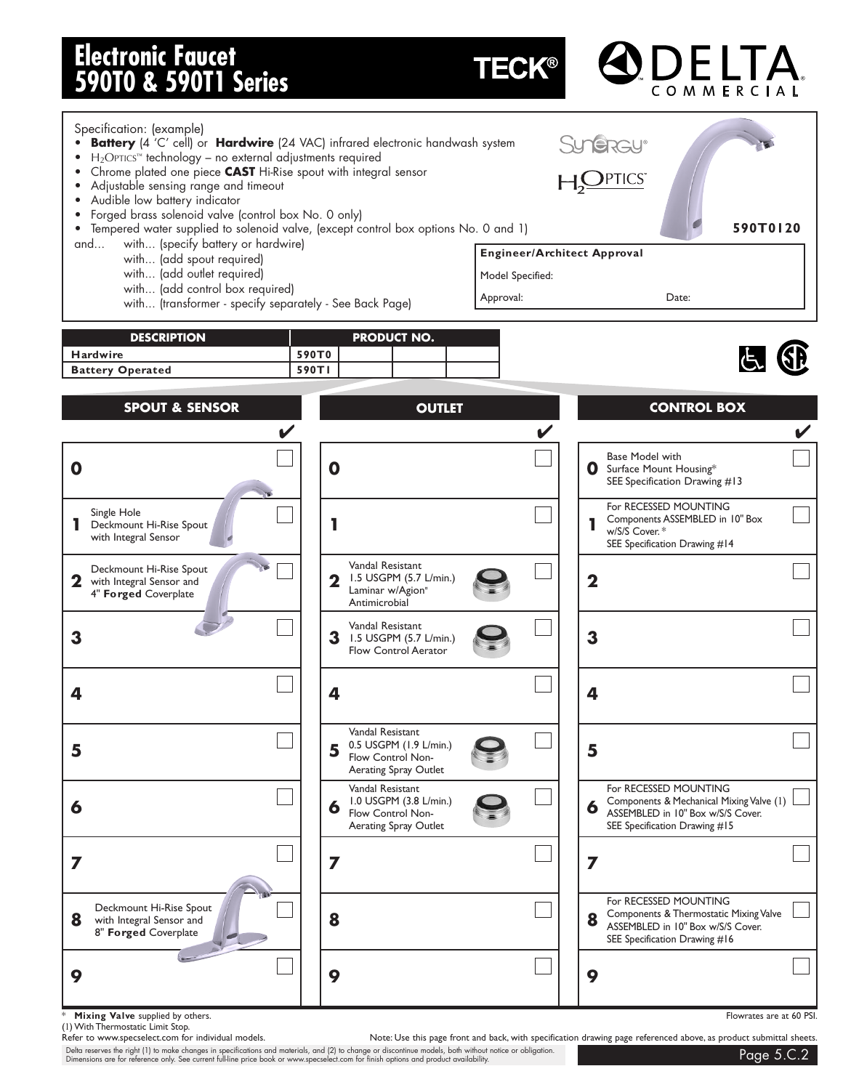# **Electronic Faucet 590T0 & 590T1 Series**

**TECK®** 

#### Specification: (example) • **Battery** (4 'C' cell) or **Hardwire** (24 VAC) infrared electronic handwash system **Sun<del>e</del>rcu**®  $\bullet$  H<sub>2</sub>OPTICS<sup>™</sup> technology – no external adjustments required • Chrome plated one piece **CAST** Hi-Rise spout with integral sensor  $\bigcup$ PTICS • Adjustable sensing range and timeout • Audible low battery indicator • Forged brass solenoid valve (control box No. 0 only) **590T0120** • Tempered water supplied to solenoid valve, (except control box options No. 0 and 1) and... with... (specify battery or hardwire) **Engineer/Architect Approval** with... (add spout required) with... (add outlet required) Model Specified: with... (add control box required) Approval: Date: with... (transformer - specify separately - See Back Page) **DESCRIPTION PRODUCT NO. Hardwire 590T0** Battery Operated 590Tl **SPOUT & SENSOR OUTLET CONTROL BOX ✔✔✔** Base Model with **000** Surface Mount Housing\* SEE Specification Drawing #13 For RECESSED MOUNTING Single Hole Components ASSEMBLED in 10" Box **1**  $\left| \begin{array}{ccc} 1 & \text{N} \\ \text{N} \end{array} \right|$  **1 1 1 1 1** w/S/S Cover. \* with Integral Sensor SEE Specification Drawing #14 Vandal Resistant Deckmount Hi-Rise Spout 1.5 USGPM (5.7 L/min.) 2 with Integral Sensor and  $\begin{pmatrix} 1 & -1 \\ 1 & 1 \end{pmatrix}$  **2** 1.5 USGPM (5.7 L/min.) Laminar w/Agion<sup>"</sup> 4" **Forged** Coverplate Antimicrobial Vandal Resistant **3**  $\begin{array}{|c|c|c|c|c|} \hline \textbf{3} & \textbf{1.5} \text{ USGPM (5.7 L/min.)} & \textbf{3} & \textbf{1.3} \\ \hline \end{array}$ Flow Control Aerator **4 4 4** Vandal Resistant 0.5 USGPM (1.9 L/min.)  $\overline{\phantom{a}}$  **5**  $\overline{\phantom{a}}$  **5**  $\overline{\phantom{a}}$  **5**  $\overline{\phantom{a}}$  **5**  $\overline{\phantom{a}}$  **5**  $\overline{\phantom{a}}$  **5**  $\overline{\phantom{a}}$  **5**  $\overline{\phantom{a}}$  **5** Aerating Spray Outlet For RECESSED MOUNTING Vandal Resistant 1.0 USGPM (3.8 L/min.) Components & Mechanical Mixing Valve (1) 6 Components & Figure Line Cover. **6 6 6** Flow Control Non-Aerating Spray Outlet SEE Specification Drawing #15 **7 7 7** For RECESSED MOUNTING Deckmount Hi-Rise Spout Components & Thermostatic Mixing Valve **8** with Integral Sensor and  $\begin{array}{|c|c|c|c|c|c|} \hline \end{array}$  **8 8 18** ASSEMBLED in 10" Box w/S/S Cover. 8" **Forged** Coverplate SEE Specification Drawing #16 **9 9 9**

**Mixing Valve** supplied by others. **Flowrates are at 60 PSI.** Flowrates are at 60 PSI.

(1) With Thermostatic Limit Stop.

Note: Use this page front and back, with specification drawing page referenced above, as product submittal sheets.

Delta reserves the right (1) to make changes in specifications and materials, and (2) to change or discontinue models, both without notice or obligation. Dimensions are for reference only. See current full-line price book or www.specselect.com for finish options and product availability.<br>Dimensions are for reference only. See current full-line price book or www.specselect.c